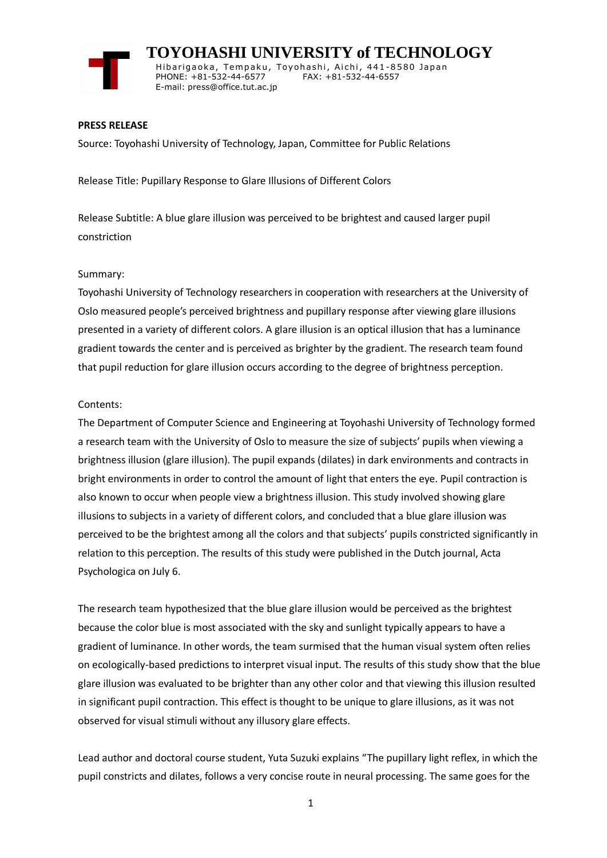

 **TOYOHASHI UNIVERSITY of TECHNOLOGY** Hibarigaoka, Tempaku, Toyohashi, Aichi, 441-8580 Japan PHONE: +81-532-44-6577 FAX: +81-532-44-6557 E-mail: press@office.tut.ac.jp

### **PRESS RELEASE**

Source: Toyohashi University of Technology, Japan, Committee for Public Relations

Release Title: Pupillary Response to Glare Illusions of Different Colors

Release Subtitle: A blue glare illusion was perceived to be brightest and caused larger pupil constriction

### Summary:

Toyohashi University of Technology researchers in cooperation with researchers at the University of Oslo measured people's perceived brightness and pupillary response after viewing glare illusions presented in a variety of different colors. A glare illusion is an optical illusion that has a luminance gradient towards the center and is perceived as brighter by the gradient. The research team found that pupil reduction for glare illusion occurs according to the degree of brightness perception.

### Contents:

The Department of Computer Science and Engineering at Toyohashi University of Technology formed a research team with the University of Oslo to measure the size of subjects' pupils when viewing a brightness illusion (glare illusion). The pupil expands (dilates) in dark environments and contracts in bright environments in order to control the amount of light that enters the eye. Pupil contraction is also known to occur when people view a brightness illusion. This study involved showing glare illusions to subjects in a variety of different colors, and concluded that a blue glare illusion was perceived to be the brightest among all the colors and that subjects' pupils constricted significantly in relation to this perception. The results of this study were published in the Dutch journal, Acta Psychologica on July 6.

The research team hypothesized that the blue glare illusion would be perceived as the brightest because the color blue is most associated with the sky and sunlight typically appears to have a gradient of luminance. In other words, the team surmised that the human visual system often relies on ecologically-based predictions to interpret visual input. The results of this study show that the blue glare illusion was evaluated to be brighter than any other color and that viewing this illusion resulted in significant pupil contraction. This effect is thought to be unique to glare illusions, as it was not observed for visual stimuli without any illusory glare effects.

Lead author and doctoral course student, Yuta Suzuki explains "The pupillary light reflex, in which the pupil constricts and dilates, follows a very concise route in neural processing. The same goes for the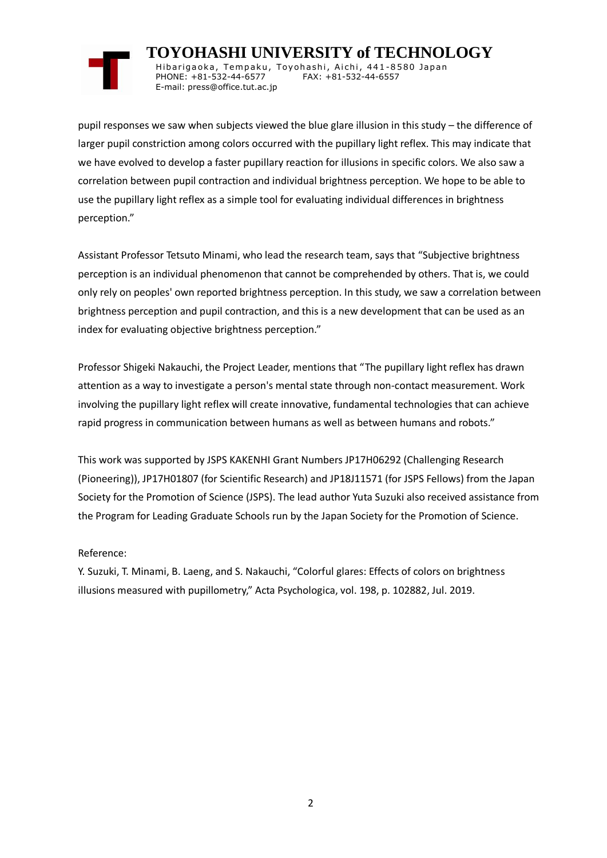# **TOYOHASHI UNIVERSITY of TECHNOLOGY**

Hibarigaoka, Tempaku, Toyohashi, Aichi, 441-8580 Japan PHONE: +81-532-44-6577 FAX: +81-532-44-6557 E-mail: press@office.tut.ac.jp

pupil responses we saw when subjects viewed the blue glare illusion in this study – the difference of larger pupil constriction among colors occurred with the pupillary light reflex. This may indicate that we have evolved to develop a faster pupillary reaction for illusions in specific colors. We also saw a correlation between pupil contraction and individual brightness perception. We hope to be able to use the pupillary light reflex as a simple tool for evaluating individual differences in brightness perception."

Assistant Professor Tetsuto Minami, who lead the research team, says that "Subjective brightness perception is an individual phenomenon that cannot be comprehended by others. That is, we could only rely on peoples' own reported brightness perception. In this study, we saw a correlation between brightness perception and pupil contraction, and this is a new development that can be used as an index for evaluating objective brightness perception."

Professor Shigeki Nakauchi, the Project Leader, mentions that "The pupillary light reflex has drawn attention as a way to investigate a person's mental state through non-contact measurement. Work involving the pupillary light reflex will create innovative, fundamental technologies that can achieve rapid progress in communication between humans as well as between humans and robots."

This work was supported by JSPS KAKENHI Grant Numbers JP17H06292 (Challenging Research (Pioneering)), JP17H01807 (for Scientific Research) and JP18J11571 (for JSPS Fellows) from the Japan Society for the Promotion of Science (JSPS). The lead author Yuta Suzuki also received assistance from the Program for Leading Graduate Schools run by the Japan Society for the Promotion of Science.

## Reference:

Y. Suzuki, T. Minami, B. Laeng, and S. Nakauchi, "Colorful glares: Effects of colors on brightness illusions measured with pupillometry," Acta Psychologica, vol. 198, p. 102882, Jul. 2019.